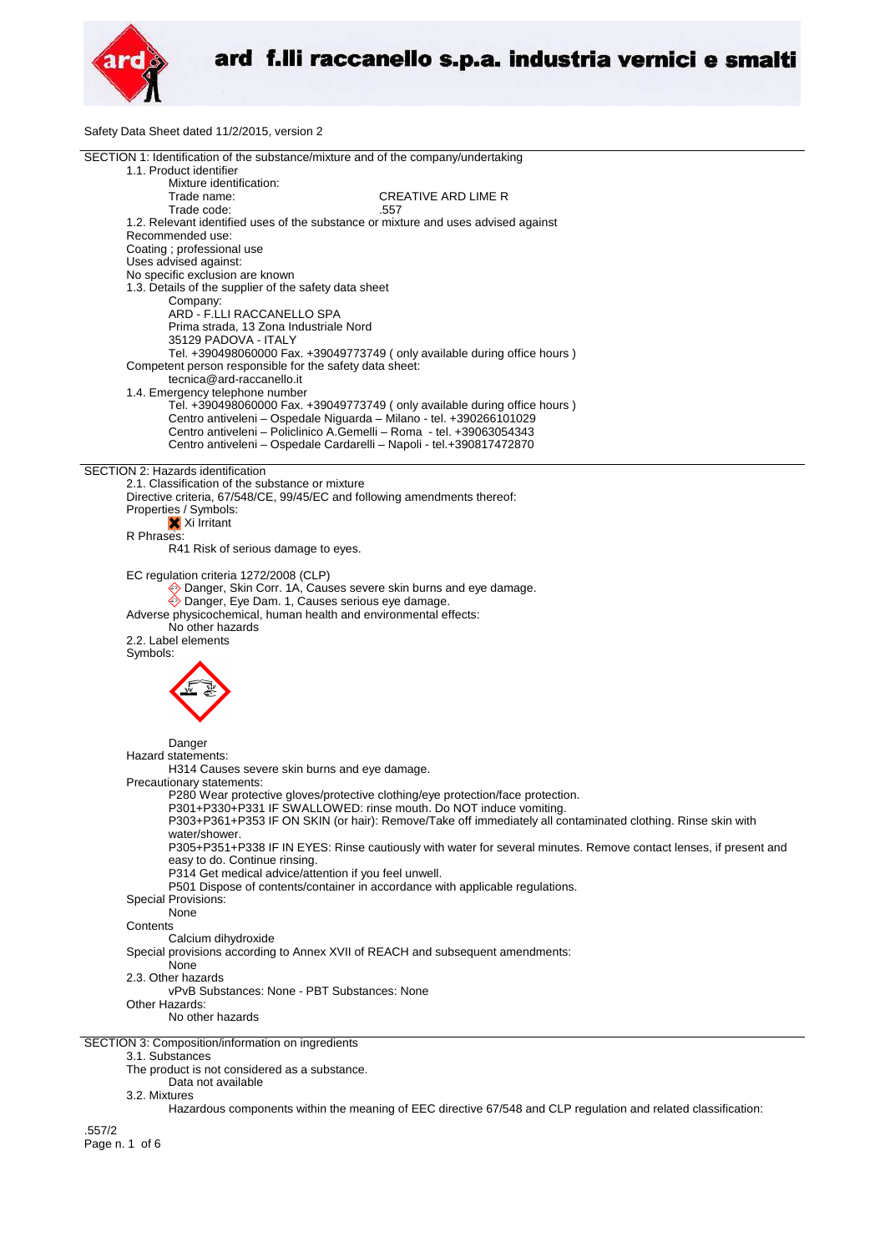

Safety Data Sheet dated 11/2/2015, version 2

| SECTION 1: Identification of the substance/mixture and of the company/undertaking                                 |
|-------------------------------------------------------------------------------------------------------------------|
| 1.1. Product identifier                                                                                           |
| Mixture identification:                                                                                           |
| Trade name:<br>CREATIVE ARD LIME R                                                                                |
| Trade code:<br>.557                                                                                               |
| 1.2. Relevant identified uses of the substance or mixture and uses advised against                                |
| Recommended use:                                                                                                  |
| Coating ; professional use                                                                                        |
| Uses advised against:                                                                                             |
| No specific exclusion are known                                                                                   |
| 1.3. Details of the supplier of the safety data sheet                                                             |
| Company:                                                                                                          |
| ARD - F.LLI RACCANELLO SPA                                                                                        |
|                                                                                                                   |
| Prima strada, 13 Zona Industriale Nord                                                                            |
| 35129 PADOVA - ITALY                                                                                              |
| Tel. +390498060000 Fax. +39049773749 (only available during office hours)                                         |
| Competent person responsible for the safety data sheet:                                                           |
| tecnica@ard-raccanello.it                                                                                         |
| 1.4. Emergency telephone number                                                                                   |
| Tel. +390498060000 Fax. +39049773749 (only available during office hours)                                         |
| Centro antiveleni - Ospedale Niguarda - Milano - tel. +390266101029                                               |
| Centro antiveleni - Policlinico A.Gemelli - Roma - tel. +39063054343                                              |
| Centro antiveleni - Ospedale Cardarelli - Napoli - tel.+390817472870                                              |
|                                                                                                                   |
| SECTION 2: Hazards identification                                                                                 |
| 2.1. Classification of the substance or mixture                                                                   |
| Directive criteria, 67/548/CE, 99/45/EC and following amendments thereof:                                         |
| Properties / Symbols:                                                                                             |
| X Xi Irritant                                                                                                     |
| R Phrases:                                                                                                        |
| R41 Risk of serious damage to eyes.                                                                               |
|                                                                                                                   |
| EC regulation criteria 1272/2008 (CLP)                                                                            |
| ♦ Danger, Skin Corr. 1A, Causes severe skin burns and eye damage.                                                 |
| ◆ Danger, Eye Dam. 1, Causes serious eye damage.                                                                  |
| Adverse physicochemical, human health and environmental effects:                                                  |
| No other hazards                                                                                                  |
|                                                                                                                   |
| 2.2. Label elements                                                                                               |
| Symbols:                                                                                                          |
|                                                                                                                   |
|                                                                                                                   |
|                                                                                                                   |
|                                                                                                                   |
|                                                                                                                   |
|                                                                                                                   |
| Danger                                                                                                            |
| Hazard statements:                                                                                                |
| H314 Causes severe skin burns and eye damage.                                                                     |
| Precautionary statements:                                                                                         |
| P280 Wear protective gloves/protective clothing/eye protection/face protection.                                   |
| P301+P330+P331 IF SWALLOWED: rinse mouth. Do NOT induce vomiting.                                                 |
| P303+P361+P353 IF ON SKIN (or hair): Remove/Take off immediately all contaminated clothing. Rinse skin with       |
| water/shower.                                                                                                     |
| P305+P351+P338 IF IN EYES: Rinse cautiously with water for several minutes. Remove contact lenses, if present and |
| easy to do. Continue rinsing.                                                                                     |
| P314 Get medical advice/attention if you feel unwell.                                                             |
| P501 Dispose of contents/container in accordance with applicable regulations.                                     |
| <b>Special Provisions:</b>                                                                                        |
| None                                                                                                              |
| Contents                                                                                                          |
| Calcium dihydroxide                                                                                               |
|                                                                                                                   |
| Special provisions according to Annex XVII of REACH and subsequent amendments:                                    |
| None                                                                                                              |
| 2.3. Other hazards                                                                                                |
| vPvB Substances: None - PBT Substances: None                                                                      |
| Other Hazards:                                                                                                    |
| No other hazards                                                                                                  |
|                                                                                                                   |
| SECTION 3: Composition/information on ingredients                                                                 |
| 3.1. Substances                                                                                                   |
| The product is not considered as a substance.                                                                     |
| Data not available                                                                                                |

3.2. Mixtures

Hazardous components within the meaning of EEC directive 67/548 and CLP regulation and related classification:

.557/2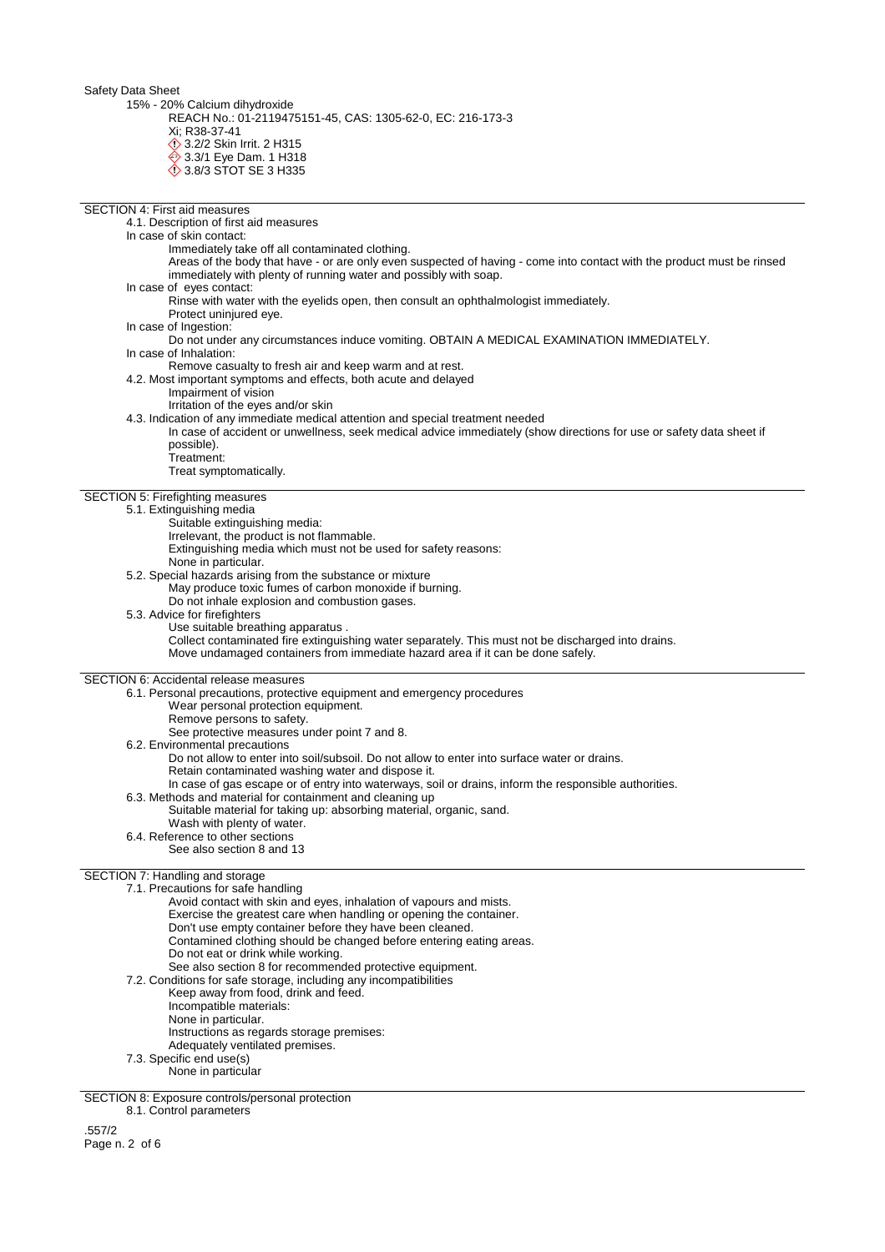15% - 20% Calcium dihydroxide

REACH No.: 01-2119475151-45, CAS: 1305-62-0, EC: 216-173-3

Xi; R38-37-41

**12.2/2 Skin Irrit. 2 H315** 

**♦ 3.3/1 Eye Dam. 1 H318** 

3.8/3 STOT SE 3 H335

## SECTION 4: First aid measures

4.1. Description of first aid measures In case of skin contact: Immediately take off all contaminated clothing. Areas of the body that have - or are only even suspected of having - come into contact with the product must be rinsed immediately with plenty of running water and possibly with soap. In case of eyes contact: Rinse with water with the eyelids open, then consult an ophthalmologist immediately. Protect uninjured eye. In case of Ingestion: Do not under any circumstances induce vomiting. OBTAIN A MEDICAL EXAMINATION IMMEDIATELY. In case of Inhalation: Remove casualty to fresh air and keep warm and at rest. 4.2. Most important symptoms and effects, both acute and delayed Impairment of vision Irritation of the eyes and/or skin 4.3. Indication of any immediate medical attention and special treatment needed In case of accident or unwellness, seek medical advice immediately (show directions for use or safety data sheet if possible). Treatment: Treat symptomatically. SECTION 5: Firefighting measures 5.1. Extinguishing media Suitable extinguishing media:

- - Irrelevant, the product is not flammable.
- Extinguishing media which must not be used for safety reasons: None in particular.
- 
- 5.2. Special hazards arising from the substance or mixture May produce toxic fumes of carbon monoxide if burning.

Do not inhale explosion and combustion gases.

- 5.3. Advice for firefighters
	- Use suitable breathing apparatus . Collect contaminated fire extinguishing water separately. This must not be discharged into drains. Move undamaged containers from immediate hazard area if it can be done safely.

SECTION 6: Accidental release measures

6.1. Personal precautions, protective equipment and emergency procedures

- Wear personal protection equipment.
- Remove persons to safety.
- See protective measures under point 7 and 8.
- 6.2. Environmental precautions

Do not allow to enter into soil/subsoil. Do not allow to enter into surface water or drains.

- Retain contaminated washing water and dispose it.
- In case of gas escape or of entry into waterways, soil or drains, inform the responsible authorities.
- 6.3. Methods and material for containment and cleaning up
	- Suitable material for taking up: absorbing material, organic, sand.
	- Wash with plenty of water.
- 6.4. Reference to other sections
	- See also section 8 and 13

## SECTION 7: Handling and storage

7.1. Precautions for safe handling

- Avoid contact with skin and eyes, inhalation of vapours and mists.
- Exercise the greatest care when handling or opening the container.
- Don't use empty container before they have been cleaned.
- Contamined clothing should be changed before entering eating areas.
- Do not eat or drink while working.

See also section 8 for recommended protective equipment.

- 7.2. Conditions for safe storage, including any incompatibilities
	- Keep away from food, drink and feed.
	- Incompatible materials:
	- None in particular.
	- Instructions as regards storage premises:
	- Adequately ventilated premises.
- 7.3. Specific end use(s) None in particular

SECTION 8: Exposure controls/personal protection

8.1. Control parameters

.557/2 Page n. 2 of 6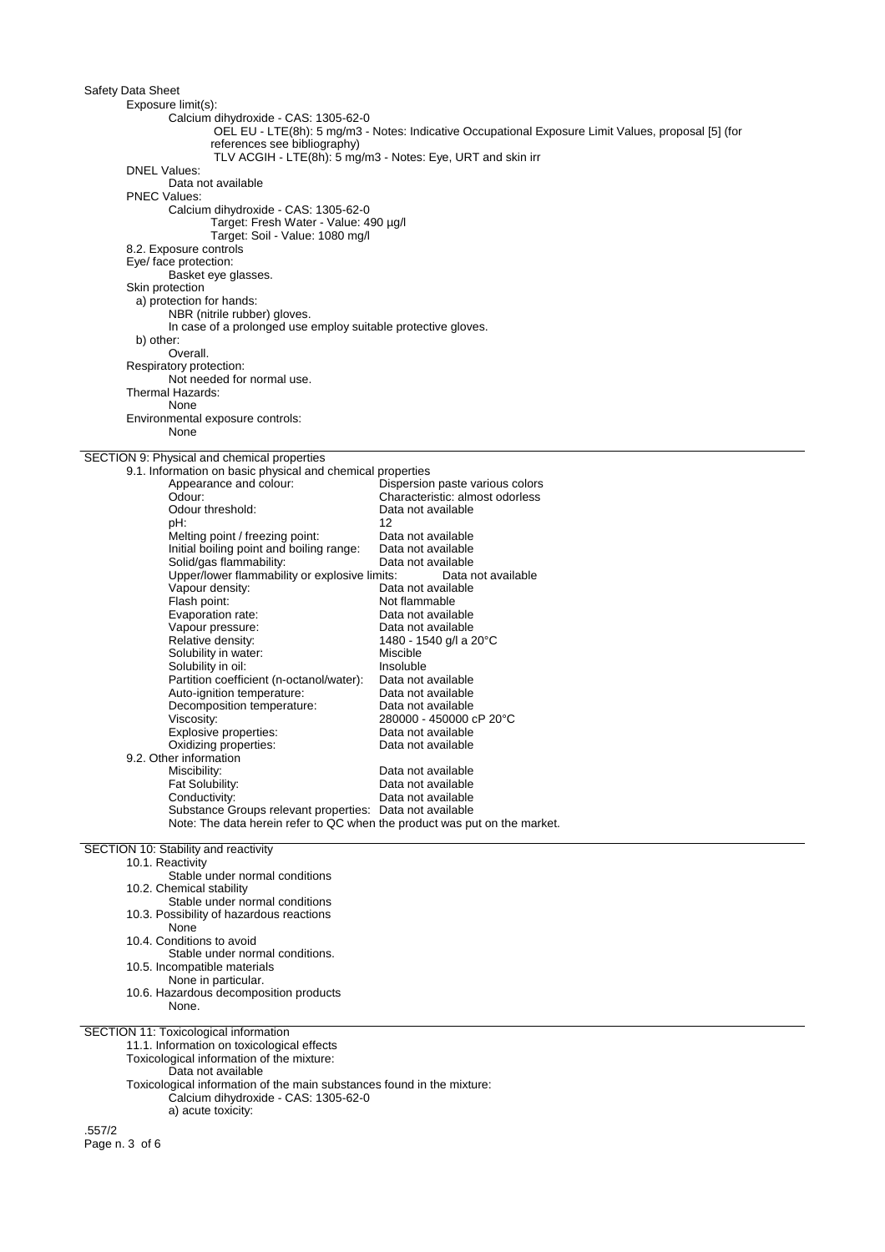| Safety Data Sheet                                                   |                                                               |                                                                                                     |  |
|---------------------------------------------------------------------|---------------------------------------------------------------|-----------------------------------------------------------------------------------------------------|--|
| Exposure limit(s):                                                  |                                                               |                                                                                                     |  |
|                                                                     | Calcium dihydroxide - CAS: 1305-62-0                          |                                                                                                     |  |
|                                                                     |                                                               | OEL EU - LTE(8h): 5 mg/m3 - Notes: Indicative Occupational Exposure Limit Values, proposal [5] (for |  |
|                                                                     | references see bibliography)                                  |                                                                                                     |  |
|                                                                     |                                                               | TLV ACGIH - LTE(8h): 5 mg/m3 - Notes: Eye, URT and skin irr                                         |  |
| <b>DNEL Values:</b>                                                 |                                                               |                                                                                                     |  |
| Data not available                                                  |                                                               |                                                                                                     |  |
| <b>PNEC Values:</b>                                                 |                                                               |                                                                                                     |  |
|                                                                     | Calcium dihydroxide - CAS: 1305-62-0                          |                                                                                                     |  |
|                                                                     | Target: Fresh Water - Value: 490 µg/l                         |                                                                                                     |  |
|                                                                     | Target: Soil - Value: 1080 mg/l                               |                                                                                                     |  |
| 8.2. Exposure controls                                              |                                                               |                                                                                                     |  |
| Eye/ face protection:                                               |                                                               |                                                                                                     |  |
| Basket eye glasses.                                                 |                                                               |                                                                                                     |  |
| Skin protection                                                     |                                                               |                                                                                                     |  |
| a) protection for hands:                                            |                                                               |                                                                                                     |  |
| NBR (nitrile rubber) gloves.                                        |                                                               |                                                                                                     |  |
|                                                                     | In case of a prolonged use employ suitable protective gloves. |                                                                                                     |  |
| b) other:                                                           |                                                               |                                                                                                     |  |
| Overall.                                                            |                                                               |                                                                                                     |  |
| Respiratory protection:                                             |                                                               |                                                                                                     |  |
| Not needed for normal use.                                          |                                                               |                                                                                                     |  |
| Thermal Hazards:                                                    |                                                               |                                                                                                     |  |
| None                                                                |                                                               |                                                                                                     |  |
| Environmental exposure controls:                                    |                                                               |                                                                                                     |  |
| None                                                                |                                                               |                                                                                                     |  |
|                                                                     |                                                               |                                                                                                     |  |
| SECTION 9: Physical and chemical properties                         |                                                               |                                                                                                     |  |
|                                                                     | 9.1. Information on basic physical and chemical properties    |                                                                                                     |  |
| Appearance and colour:                                              |                                                               | Dispersion paste various colors                                                                     |  |
| Odour:                                                              |                                                               | Characteristic: almost odorless                                                                     |  |
| Odour threshold:                                                    |                                                               | Data not available                                                                                  |  |
| pH:                                                                 |                                                               | 12                                                                                                  |  |
| Melting point / freezing point:                                     |                                                               | Data not available                                                                                  |  |
| Initial boiling point and boiling range:                            | Data not available                                            |                                                                                                     |  |
| Solid/gas flammability:<br>Data not available                       |                                                               |                                                                                                     |  |
| Upper/lower flammability or explosive limits:<br>Data not available |                                                               |                                                                                                     |  |
| Vapour density:                                                     |                                                               | Data not available                                                                                  |  |
| Flash point:                                                        |                                                               | Not flammable                                                                                       |  |
| Evaporation rate:                                                   |                                                               | Data not available                                                                                  |  |
| Vapour pressure:                                                    |                                                               | Data not available                                                                                  |  |

1480 - 1540 g/l a 20°C<br>Miscible

280000 - 450000 cP 20°C<br>Data not available

Substance Groups relevant properties: Data not available Note: The data herein refer to QC when the product was put on the market.

Solubility in oil: Insoluble Insoluble<br>Partition coefficient (n-octanol/water): Data not available Partition coefficient (n-octanol/water): Data not available<br>Auto-ignition temperature: Data not available Auto-ignition temperature: Data not available<br>Decomposition temperature: Data not available

Explosive properties:<br>
Uiscosity: 280000 - 450000<br>
Explosive properties:<br>
Data not available<br>
Data not available

Miscibility: Data not available<br>
Fat Solubility: Case of Bata not available<br>
Data not available Fat Solubility:<br>
Conductivity:<br>
Data not available<br>
Data not available Conductivity: Conductivity: Data not available

SECTION 10: Stability and reactivity

9.2. Other information

Evaporation rate.<br>Vapour pressure:<br>Relative density:

Solubility in water:

Oxidizing properties:

Decomposition temperature:

10.1. Reactivity Stable under normal conditions 10.2. Chemical stability Stable under normal conditions 10.3. Possibility of hazardous reactions None 10.4. Conditions to avoid Stable under normal conditions. 10.5. Incompatible materials None in particular. 10.6. Hazardous decomposition products None. SECTION 11: Toxicological information 11.1. Information on toxicological effects Toxicological information of the mixture: Data not available Toxicological information of the main substances found in the mixture: Calcium dihydroxide - CAS: 1305-62-0 a) acute toxicity:

.557/2 Page n. 3 of 6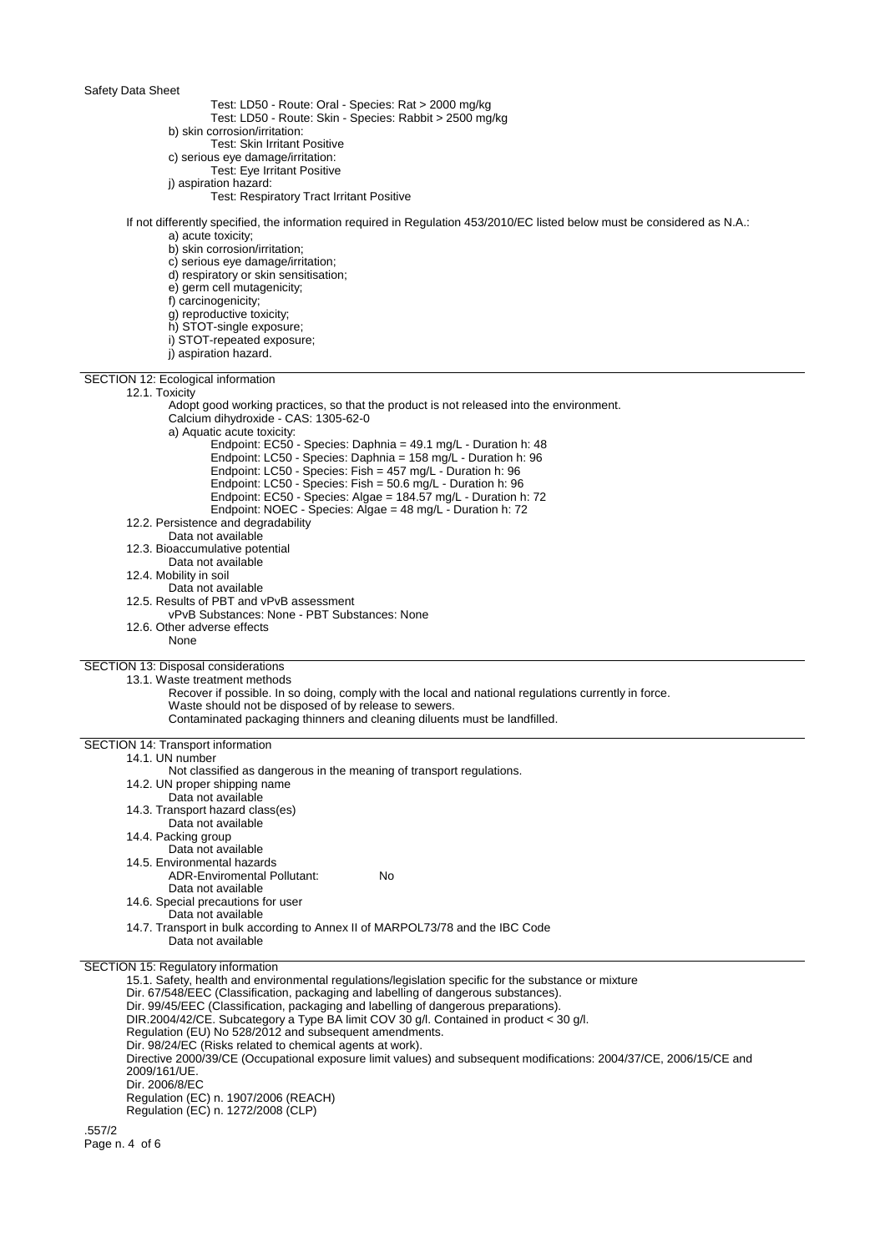- Test: LD50 Route: Oral Species: Rat > 2000 mg/kg
	- Test: LD50 Route: Skin Species: Rabbit > 2500 mg/kg
- b) skin corrosion/irritation:
- Test: Skin Irritant Positive
- c) serious eye damage/irritation: Test: Eye Irritant Positive
- j) aspiration hazard:
	- Test: Respiratory Tract Irritant Positive

#### If not differently specified, the information required in Regulation 453/2010/EC listed below must be considered as N.A.: a) acute toxicity;

- b) skin corrosion/irritation;
- c) serious eye damage/irritation;
- d) respiratory or skin sensitisation;
- e) germ cell mutagenicity;
- f) carcinogenicity;
- g) reproductive toxicity;
- h) STOT-single exposure;
- 
- i) STOT-repeated exposure;
- j) aspiration hazard.

SECTION 12: Ecological information

## 12.1. Toxicity

| 14. I. I VAIVILV<br>Adopt good working practices, so that the product is not released into the environment.<br>Calcium dihydroxide - CAS: 1305-62-0<br>a) Aquatic acute toxicity:<br>Endpoint: EC50 - Species: Daphnia = 49.1 mg/L - Duration h: 48<br>Endpoint: LC50 - Species: Daphnia = 158 mg/L - Duration h: 96<br>Endpoint: LC50 - Species: Fish = 457 mg/L - Duration h: 96<br>Endpoint: LC50 - Species: Fish = 50.6 mg/L - Duration h: 96<br>Endpoint: EC50 - Species: Algae = 184.57 mg/L - Duration h: 72<br>Endpoint: NOEC - Species: Algae = 48 mg/L - Duration h: 72 |  |  |  |
|-----------------------------------------------------------------------------------------------------------------------------------------------------------------------------------------------------------------------------------------------------------------------------------------------------------------------------------------------------------------------------------------------------------------------------------------------------------------------------------------------------------------------------------------------------------------------------------|--|--|--|
| 12.2. Persistence and degradability                                                                                                                                                                                                                                                                                                                                                                                                                                                                                                                                               |  |  |  |
| Data not available                                                                                                                                                                                                                                                                                                                                                                                                                                                                                                                                                                |  |  |  |
| 12.3. Bioaccumulative potential                                                                                                                                                                                                                                                                                                                                                                                                                                                                                                                                                   |  |  |  |
| Data not available<br>12.4. Mobility in soil                                                                                                                                                                                                                                                                                                                                                                                                                                                                                                                                      |  |  |  |
| Data not available                                                                                                                                                                                                                                                                                                                                                                                                                                                                                                                                                                |  |  |  |
| 12.5. Results of PBT and vPvB assessment                                                                                                                                                                                                                                                                                                                                                                                                                                                                                                                                          |  |  |  |
| vPvB Substances: None - PBT Substances: None                                                                                                                                                                                                                                                                                                                                                                                                                                                                                                                                      |  |  |  |
| 12.6. Other adverse effects                                                                                                                                                                                                                                                                                                                                                                                                                                                                                                                                                       |  |  |  |
| None                                                                                                                                                                                                                                                                                                                                                                                                                                                                                                                                                                              |  |  |  |
| SECTION 13: Disposal considerations                                                                                                                                                                                                                                                                                                                                                                                                                                                                                                                                               |  |  |  |
| 13.1. Waste treatment methods                                                                                                                                                                                                                                                                                                                                                                                                                                                                                                                                                     |  |  |  |
| Recover if possible. In so doing, comply with the local and national regulations currently in force.                                                                                                                                                                                                                                                                                                                                                                                                                                                                              |  |  |  |
| Waste should not be disposed of by release to sewers.                                                                                                                                                                                                                                                                                                                                                                                                                                                                                                                             |  |  |  |
| Contaminated packaging thinners and cleaning diluents must be landfilled.                                                                                                                                                                                                                                                                                                                                                                                                                                                                                                         |  |  |  |
| SECTION 14: Transport information                                                                                                                                                                                                                                                                                                                                                                                                                                                                                                                                                 |  |  |  |
| 14.1. UN number                                                                                                                                                                                                                                                                                                                                                                                                                                                                                                                                                                   |  |  |  |
| Not classified as dangerous in the meaning of transport regulations.                                                                                                                                                                                                                                                                                                                                                                                                                                                                                                              |  |  |  |
| 14.2. UN proper shipping name                                                                                                                                                                                                                                                                                                                                                                                                                                                                                                                                                     |  |  |  |
| Data not available                                                                                                                                                                                                                                                                                                                                                                                                                                                                                                                                                                |  |  |  |
| 14.3. Transport hazard class(es)                                                                                                                                                                                                                                                                                                                                                                                                                                                                                                                                                  |  |  |  |
| Data not available<br>14.4. Packing group                                                                                                                                                                                                                                                                                                                                                                                                                                                                                                                                         |  |  |  |
| Data not available                                                                                                                                                                                                                                                                                                                                                                                                                                                                                                                                                                |  |  |  |
| 14.5. Environmental hazards                                                                                                                                                                                                                                                                                                                                                                                                                                                                                                                                                       |  |  |  |
| <b>ADR-Enviromental Pollutant:</b><br><b>No</b>                                                                                                                                                                                                                                                                                                                                                                                                                                                                                                                                   |  |  |  |
| Data not available                                                                                                                                                                                                                                                                                                                                                                                                                                                                                                                                                                |  |  |  |
| 14.6. Special precautions for user                                                                                                                                                                                                                                                                                                                                                                                                                                                                                                                                                |  |  |  |
| Data not available                                                                                                                                                                                                                                                                                                                                                                                                                                                                                                                                                                |  |  |  |
| 14.7. Transport in bulk according to Annex II of MARPOL73/78 and the IBC Code                                                                                                                                                                                                                                                                                                                                                                                                                                                                                                     |  |  |  |
| Data not available                                                                                                                                                                                                                                                                                                                                                                                                                                                                                                                                                                |  |  |  |
| SECTION 15: Regulatory information                                                                                                                                                                                                                                                                                                                                                                                                                                                                                                                                                |  |  |  |
| 15.1. Safety, health and environmental regulations/legislation specific for the substance or mixture                                                                                                                                                                                                                                                                                                                                                                                                                                                                              |  |  |  |
| Dir. 67/548/EEC (Classification, packaging and labelling of dangerous substances).                                                                                                                                                                                                                                                                                                                                                                                                                                                                                                |  |  |  |
| Dir. 99/45/EEC (Classification, packaging and labelling of dangerous preparations).<br>DIR.2004/42/CE. Subcategory a Type BA limit COV 30 g/l. Contained in product < 30 g/l.                                                                                                                                                                                                                                                                                                                                                                                                     |  |  |  |
| Regulation (EU) No 528/2012 and subsequent amendments.                                                                                                                                                                                                                                                                                                                                                                                                                                                                                                                            |  |  |  |
| Dir. 98/24/EC (Risks related to chemical agents at work).                                                                                                                                                                                                                                                                                                                                                                                                                                                                                                                         |  |  |  |
| Directive 2000/39/CE (Occupational exposure limit values) and subsequent modifications: 2004/37/CE, 2006/15/CE and                                                                                                                                                                                                                                                                                                                                                                                                                                                                |  |  |  |
| 2009/161/UE.                                                                                                                                                                                                                                                                                                                                                                                                                                                                                                                                                                      |  |  |  |
| Dir. 2006/8/EC                                                                                                                                                                                                                                                                                                                                                                                                                                                                                                                                                                    |  |  |  |
| Regulation (EC) n. 1907/2006 (REACH)                                                                                                                                                                                                                                                                                                                                                                                                                                                                                                                                              |  |  |  |
| Regulation (EC) n. 1272/2008 (CLP)                                                                                                                                                                                                                                                                                                                                                                                                                                                                                                                                                |  |  |  |

.557/2 Page n. 4 of 6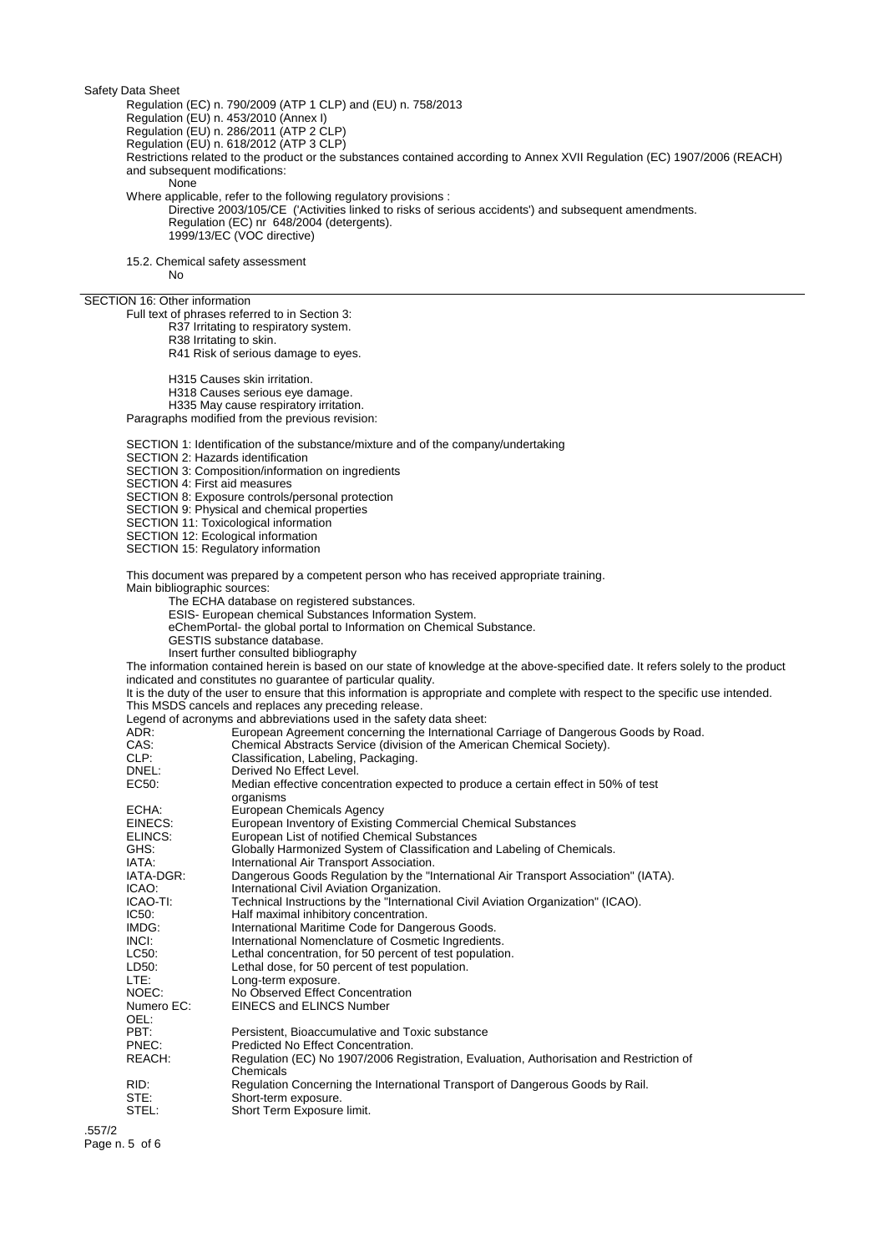Regulation (EC) n. 790/2009 (ATP 1 CLP) and (EU) n. 758/2013

Regulation (EU) n. 453/2010 (Annex I)

Regulation (EU) n. 286/2011 (ATP 2 CLP)

Regulation (EU) n. 618/2012 (ATP 3 CLP)

Restrictions related to the product or the substances contained according to Annex XVII Regulation (EC) 1907/2006 (REACH) and subsequent modifications:

None

Where applicable, refer to the following regulatory provisions :

Directive 2003/105/CE ('Activities linked to risks of serious accidents') and subsequent amendments. Regulation (EC) nr 648/2004 (detergents). 1999/13/EC (VOC directive)

15.2. Chemical safety assessment

No

## SECTION 16: Other information

Full text of phrases referred to in Section 3:

- R37 Irritating to respiratory system.
- R38 Irritating to skin.

R41 Risk of serious damage to eyes.

H315 Causes skin irritation.

H318 Causes serious eye damage.

H335 May cause respiratory irritation.

Paragraphs modified from the previous revision:

SECTION 1: Identification of the substance/mixture and of the company/undertaking

SECTION 2: Hazards identification

SECTION 3: Composition/information on ingredients

SECTION 4: First aid measures

SECTION 8: Exposure controls/personal protection

SECTION 9: Physical and chemical properties

SECTION 11: Toxicological information

SECTION 12: Ecological information

SECTION 15: Regulatory information

This document was prepared by a competent person who has received appropriate training.

Main bibliographic sources:

The ECHA database on registered substances.

ESIS- European chemical Substances Information System.

eChemPortal- the global portal to Information on Chemical Substance.

GESTIS substance database.

Insert further consulted bibliography

The information contained herein is based on our state of knowledge at the above-specified date. It refers solely to the product indicated and constitutes no guarantee of particular quality.

It is the duty of the user to ensure that this information is appropriate and complete with respect to the specific use intended. This MSDS cancels and replaces any preceding release.

Legend of acronyms and abbreviations used in the safety data sheet:

| ADR:       | European Agreement concerning the International Carriage of Dangerous Goods by Road.            |
|------------|-------------------------------------------------------------------------------------------------|
| CAS:       | Chemical Abstracts Service (division of the American Chemical Society).                         |
| CLP:       | Classification, Labeling, Packaging.                                                            |
| DNEL:      | Derived No Effect Level.                                                                        |
| EC50:      | Median effective concentration expected to produce a certain effect in 50% of test<br>organisms |
| ECHA:      | European Chemicals Agency                                                                       |
| EINECS:    | European Inventory of Existing Commercial Chemical Substances                                   |
| ELINCS:    | European List of notified Chemical Substances                                                   |
| GHS:       | Globally Harmonized System of Classification and Labeling of Chemicals.                         |
| IATA:      | International Air Transport Association.                                                        |
| IATA-DGR:  | Dangerous Goods Regulation by the "International Air Transport Association" (IATA).             |
| ICAO:      | International Civil Aviation Organization.                                                      |
| ICAO-TI:   | Technical Instructions by the "International Civil Aviation Organization" (ICAO).               |
| IC50:      | Half maximal inhibitory concentration.                                                          |
| IMDG:      | International Maritime Code for Dangerous Goods.                                                |
| INCI:      | International Nomenclature of Cosmetic Ingredients.                                             |
| LC50:      | Lethal concentration, for 50 percent of test population.                                        |
| LD50:      | Lethal dose, for 50 percent of test population.                                                 |
| LTE:       | Long-term exposure.                                                                             |
| NOEC:      | No Observed Effect Concentration                                                                |
| Numero EC: | <b>EINECS and ELINCS Number</b>                                                                 |
| OEL:       |                                                                                                 |
| PBT:       | Persistent, Bioaccumulative and Toxic substance                                                 |
| PNEC:      | Predicted No Effect Concentration.                                                              |
| REACH:     | Regulation (EC) No 1907/2006 Registration, Evaluation, Authorisation and Restriction of         |
|            | Chemicals                                                                                       |
| RID:       | Regulation Concerning the International Transport of Dangerous Goods by Rail.                   |
| STE:       | Short-term exposure.                                                                            |
| STEL:      | Short Term Exposure limit.                                                                      |
|            |                                                                                                 |

.557/2 Page n. 5 of 6